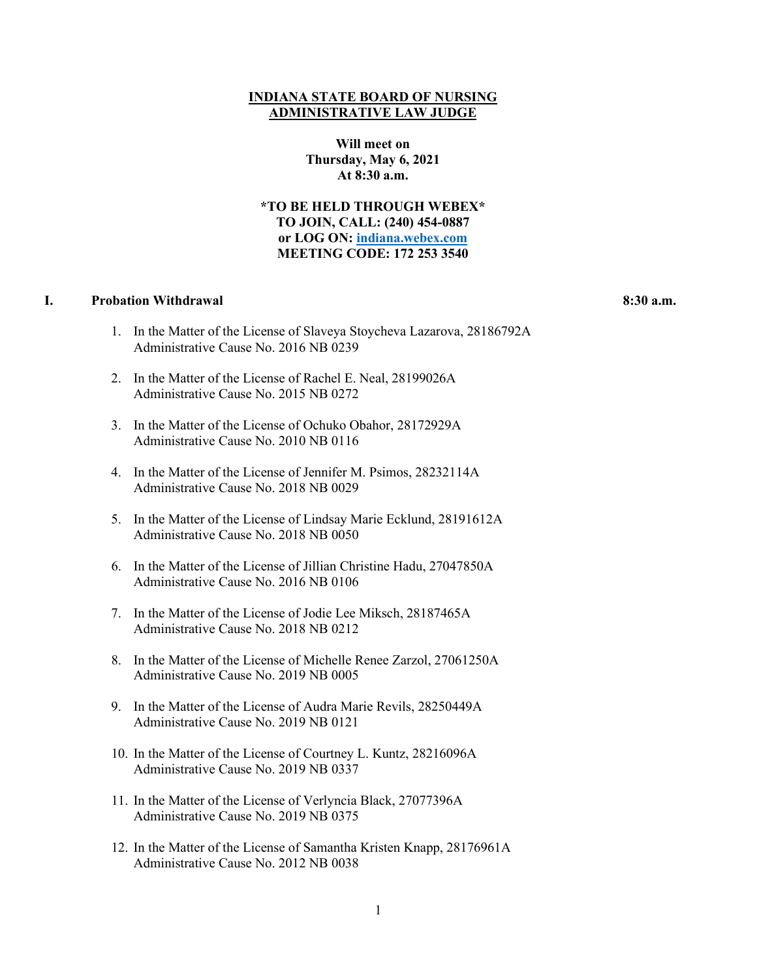## **INDIANA STATE BOARD OF NURSING ADMINISTRATIVE LAW JUDGE**

**Will meet on Thursday, May 6, 2021 At 8:30 a.m.**

**\*TO BE HELD THROUGH WEBEX\* TO JOIN, CALL: (240) 454-0887 or LOG ON: [indiana.webex.com](https://indiana.webex.com/webappng/sites/indiana/dashboard?siteurl=indiana) MEETING CODE: 172 253 3540**

## **I. Probation Withdrawal 8:30 a.m.**

- 1. In the Matter of the License of Slaveya Stoycheva Lazarova, 28186792A Administrative Cause No. 2016 NB 0239
- 2. In the Matter of the License of Rachel E. Neal, 28199026A Administrative Cause No. 2015 NB 0272
- 3. In the Matter of the License of Ochuko Obahor, 28172929A Administrative Cause No. 2010 NB 0116
- 4. In the Matter of the License of Jennifer M. Psimos, 28232114A Administrative Cause No. 2018 NB 0029
- 5. In the Matter of the License of Lindsay Marie Ecklund, 28191612A Administrative Cause No. 2018 NB 0050
- 6. In the Matter of the License of Jillian Christine Hadu, 27047850A Administrative Cause No. 2016 NB 0106
- 7. In the Matter of the License of Jodie Lee Miksch, 28187465A Administrative Cause No. 2018 NB 0212
- 8. In the Matter of the License of Michelle Renee Zarzol, 27061250A Administrative Cause No. 2019 NB 0005
- 9. In the Matter of the License of Audra Marie Revils, 28250449A Administrative Cause No. 2019 NB 0121
- 10. In the Matter of the License of Courtney L. Kuntz, 28216096A Administrative Cause No. 2019 NB 0337
- 11. In the Matter of the License of Verlyncia Black, 27077396A Administrative Cause No. 2019 NB 0375
- 12. In the Matter of the License of Samantha Kristen Knapp, 28176961A Administrative Cause No. 2012 NB 0038

1